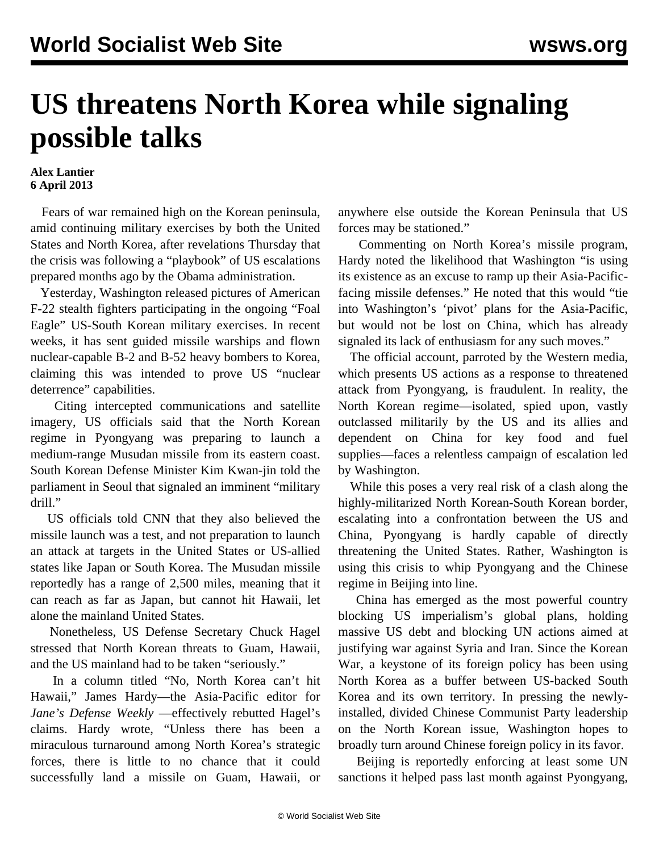## **US threatens North Korea while signaling possible talks**

## **Alex Lantier 6 April 2013**

 Fears of war remained high on the Korean peninsula, amid continuing military exercises by both the United States and North Korea, after revelations Thursday that the crisis was following a "playbook" of US escalations prepared months ago by the Obama administration.

 Yesterday, Washington released pictures of American F-22 stealth fighters participating in the ongoing "Foal Eagle" US-South Korean military exercises. In recent weeks, it has sent guided missile warships and flown nuclear-capable B-2 and B-52 heavy bombers to Korea, claiming this was intended to prove US "nuclear deterrence" capabilities.

 Citing intercepted communications and satellite imagery, US officials said that the North Korean regime in Pyongyang was preparing to launch a medium-range Musudan missile from its eastern coast. South Korean Defense Minister Kim Kwan-jin told the parliament in Seoul that signaled an imminent "military drill."

 US officials told CNN that they also believed the missile launch was a test, and not preparation to launch an attack at targets in the United States or US-allied states like Japan or South Korea. The Musudan missile reportedly has a range of 2,500 miles, meaning that it can reach as far as Japan, but cannot hit Hawaii, let alone the mainland United States.

 Nonetheless, US Defense Secretary Chuck Hagel stressed that North Korean threats to Guam, Hawaii, and the US mainland had to be taken "seriously."

 In a column titled "No, North Korea can't hit Hawaii," James Hardy—the Asia-Pacific editor for *Jane's Defense Weekly* —effectively rebutted Hagel's claims. Hardy wrote, "Unless there has been a miraculous turnaround among North Korea's strategic forces, there is little to no chance that it could successfully land a missile on Guam, Hawaii, or anywhere else outside the Korean Peninsula that US forces may be stationed."

 Commenting on North Korea's missile program, Hardy noted the likelihood that Washington "is using its existence as an excuse to ramp up their Asia-Pacificfacing missile defenses." He noted that this would "tie into Washington's 'pivot' plans for the Asia-Pacific, but would not be lost on China, which has already signaled its lack of enthusiasm for any such moves."

 The official account, parroted by the Western media, which presents US actions as a response to threatened attack from Pyongyang, is fraudulent. In reality, the North Korean regime—isolated, spied upon, vastly outclassed militarily by the US and its allies and dependent on China for key food and fuel supplies—faces a relentless campaign of escalation led by Washington.

 While this poses a very real risk of a clash along the highly-militarized North Korean-South Korean border, escalating into a confrontation between the US and China, Pyongyang is hardly capable of directly threatening the United States. Rather, Washington is using this crisis to whip Pyongyang and the Chinese regime in Beijing into line.

 China has emerged as the most powerful country blocking US imperialism's global plans, holding massive US debt and blocking UN actions aimed at justifying war against Syria and Iran. Since the Korean War, a keystone of its foreign policy has been using North Korea as a buffer between US-backed South Korea and its own territory. In pressing the newlyinstalled, divided Chinese Communist Party leadership on the North Korean issue, Washington hopes to broadly turn around Chinese foreign policy in its favor.

 Beijing is reportedly enforcing at least some UN sanctions it helped pass last month against Pyongyang,